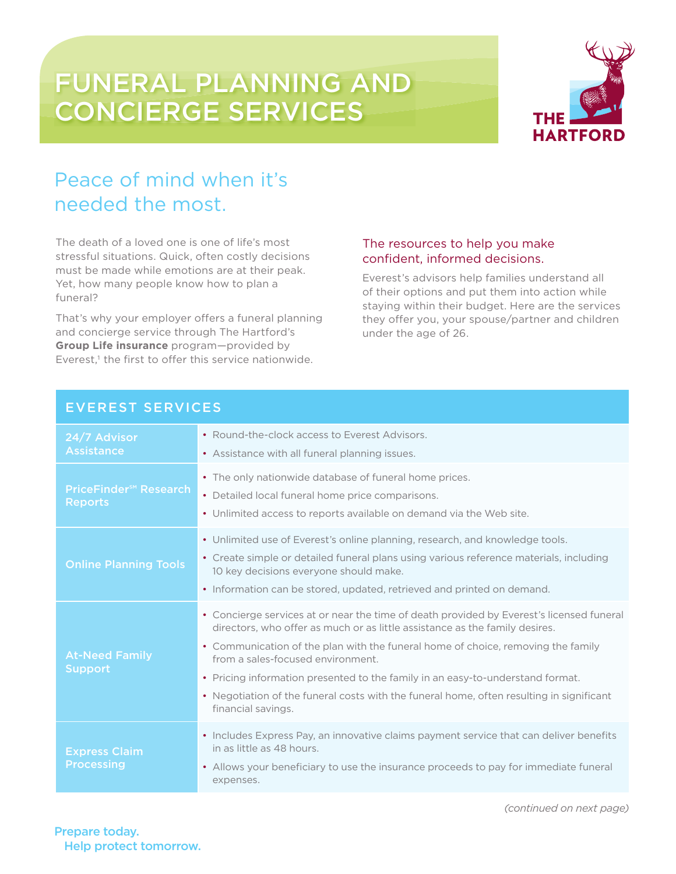# FUNERAL PLANNING AND CONCIERGE SERVICES



## Peace of mind when it's needed the most.

The death of a loved one is one of life's most stressful situations. Quick, often costly decisions must be made while emotions are at their peak. Yet, how many people know how to plan a funeral?

That's why your employer offers a funeral planning and concierge service through The Hartford's **Group Life insurance** program—provided by Everest,<sup>1</sup> the first to offer this service nationwide.

### The resources to help you make confident, informed decisions.

Everest's advisors help families understand all of their options and put them into action while staying within their budget. Here are the services they offer you, your spouse/partner and children under the age of 26.

| 24/7 Advisor<br><b>Assistance</b>                          | • Round-the-clock access to Everest Advisors.<br>• Assistance with all funeral planning issues.                                                                                                                                                                                                                                                                                                                                                                                                      |
|------------------------------------------------------------|------------------------------------------------------------------------------------------------------------------------------------------------------------------------------------------------------------------------------------------------------------------------------------------------------------------------------------------------------------------------------------------------------------------------------------------------------------------------------------------------------|
| <b>PriceFinder<sup>5M</sup></b> Research<br><b>Reports</b> | • The only nationwide database of funeral home prices.<br>• Detailed local funeral home price comparisons.<br>• Unlimited access to reports available on demand via the Web site.                                                                                                                                                                                                                                                                                                                    |
| <b>Online Planning Tools</b>                               | • Unlimited use of Everest's online planning, research, and knowledge tools.<br>• Create simple or detailed funeral plans using various reference materials, including<br>10 key decisions everyone should make.<br>• Information can be stored, updated, retrieved and printed on demand.                                                                                                                                                                                                           |
| <b>At-Need Family</b><br><b>Support</b>                    | • Concierge services at or near the time of death provided by Everest's licensed funeral<br>directors, who offer as much or as little assistance as the family desires.<br>• Communication of the plan with the funeral home of choice, removing the family<br>from a sales-focused environment.<br>• Pricing information presented to the family in an easy-to-understand format.<br>• Negotiation of the funeral costs with the funeral home, often resulting in significant<br>financial savings. |
| <b>Express Claim</b><br><b>Processing</b>                  | • Includes Express Pay, an innovative claims payment service that can deliver benefits<br>in as little as 48 hours.<br>• Allows your beneficiary to use the insurance proceeds to pay for immediate funeral<br>expenses.                                                                                                                                                                                                                                                                             |

### EVEREST SERVICES

*(continued on next page)*